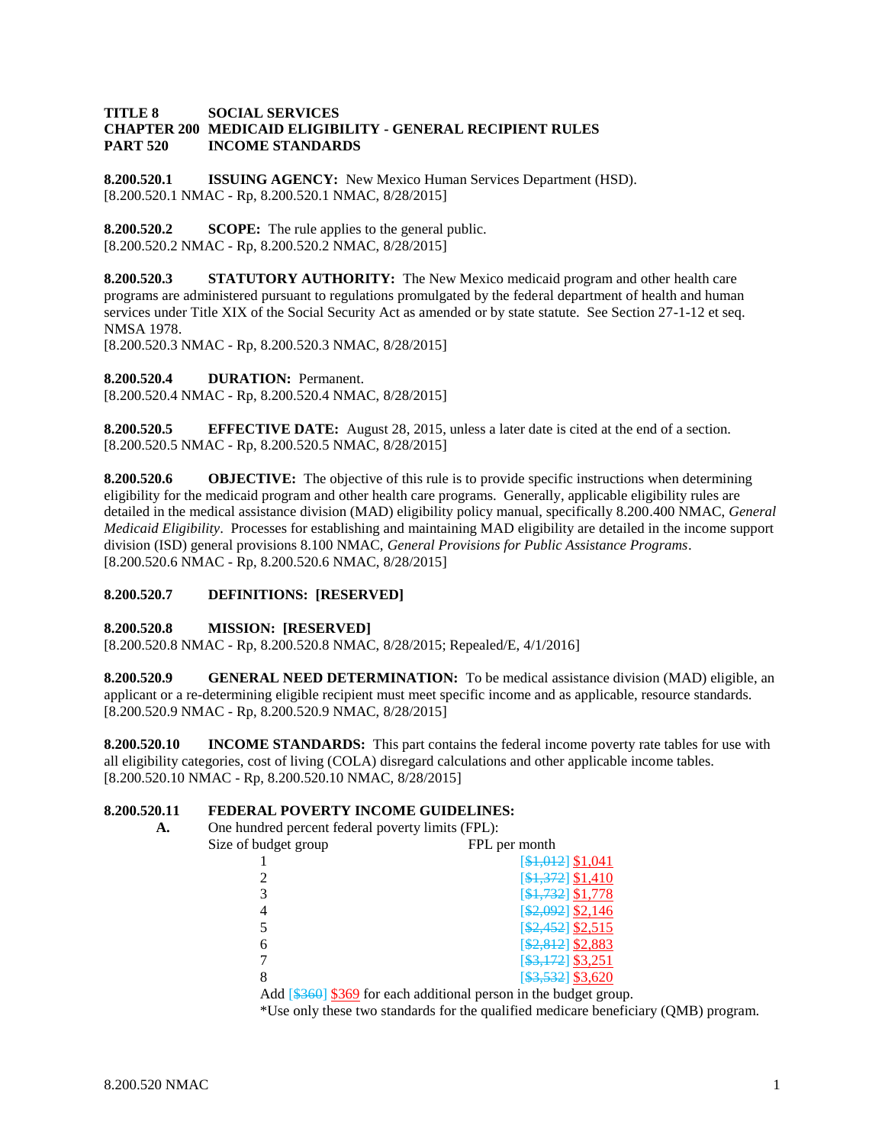#### **TITLE 8 SOCIAL SERVICES CHAPTER 200 MEDICAID ELIGIBILITY - GENERAL RECIPIENT RULES PART 520 INCOME STANDARDS**

**8.200.520.1 ISSUING AGENCY:** New Mexico Human Services Department (HSD). [8.200.520.1 NMAC - Rp, 8.200.520.1 NMAC, 8/28/2015]

**8.200.520.2 SCOPE:** The rule applies to the general public. [8.200.520.2 NMAC - Rp, 8.200.520.2 NMAC, 8/28/2015]

**8.200.520.3 STATUTORY AUTHORITY:** The New Mexico medicaid program and other health care programs are administered pursuant to regulations promulgated by the federal department of health and human services under Title XIX of the Social Security Act as amended or by state statute. See Section 27-1-12 et seq. NMSA 1978.

[8.200.520.3 NMAC - Rp, 8.200.520.3 NMAC, 8/28/2015]

**8.200.520.4 DURATION:** Permanent.

[8.200.520.4 NMAC - Rp, 8.200.520.4 NMAC, 8/28/2015]

**8.200.520.5 EFFECTIVE DATE:** August 28, 2015, unless a later date is cited at the end of a section. [8.200.520.5 NMAC - Rp, 8.200.520.5 NMAC, 8/28/2015]

**8.200.520.6 OBJECTIVE:** The objective of this rule is to provide specific instructions when determining eligibility for the medicaid program and other health care programs. Generally, applicable eligibility rules are detailed in the medical assistance division (MAD) eligibility policy manual, specifically 8.200.400 NMAC, *General Medicaid Eligibility*. Processes for establishing and maintaining MAD eligibility are detailed in the income support division (ISD) general provisions 8.100 NMAC, *General Provisions for Public Assistance Programs*. [8.200.520.6 NMAC - Rp, 8.200.520.6 NMAC, 8/28/2015]

#### **8.200.520.7 DEFINITIONS: [RESERVED]**

#### **8.200.520.8 MISSION: [RESERVED]**

[8.200.520.8 NMAC - Rp, 8.200.520.8 NMAC, 8/28/2015; Repealed/E, 4/1/2016]

**8.200.520.9 GENERAL NEED DETERMINATION:** To be medical assistance division (MAD) eligible, an applicant or a re-determining eligible recipient must meet specific income and as applicable, resource standards. [8.200.520.9 NMAC - Rp, 8.200.520.9 NMAC, 8/28/2015]

**8.200.520.10 INCOME STANDARDS:** This part contains the federal income poverty rate tables for use with all eligibility categories, cost of living (COLA) disregard calculations and other applicable income tables. [8.200.520.10 NMAC - Rp, 8.200.520.10 NMAC, 8/28/2015]

# **8.200.520.11 FEDERAL POVERTY INCOME GUIDELINES:**

| А. | One hundred percent federal poverty limits (FPL): |                                                                                                          |  |
|----|---------------------------------------------------|----------------------------------------------------------------------------------------------------------|--|
|    | Size of budget group                              | FPL per month                                                                                            |  |
|    |                                                   | [\$1,012] \$1,041                                                                                        |  |
|    |                                                   | [\$1,372] \$1,410                                                                                        |  |
|    |                                                   | $[4,732]$ \$1,778                                                                                        |  |
|    | 4                                                 | [\$2,092] \$2,146                                                                                        |  |
|    |                                                   | $\[ $2,452]$ \$2,515                                                                                     |  |
|    | 6                                                 | $[$2,812]$ \$2,883                                                                                       |  |
|    |                                                   | $[$ \$3,172] \$3,251                                                                                     |  |
|    | 8                                                 | $\[ $3,532]$ \$3,620                                                                                     |  |
|    |                                                   | Add $\left[\frac{1360}{1300}\right]$ $\frac{1269}{1300}$ for each additional person in the budget group. |  |

\*Use only these two standards for the qualified medicare beneficiary (QMB) program.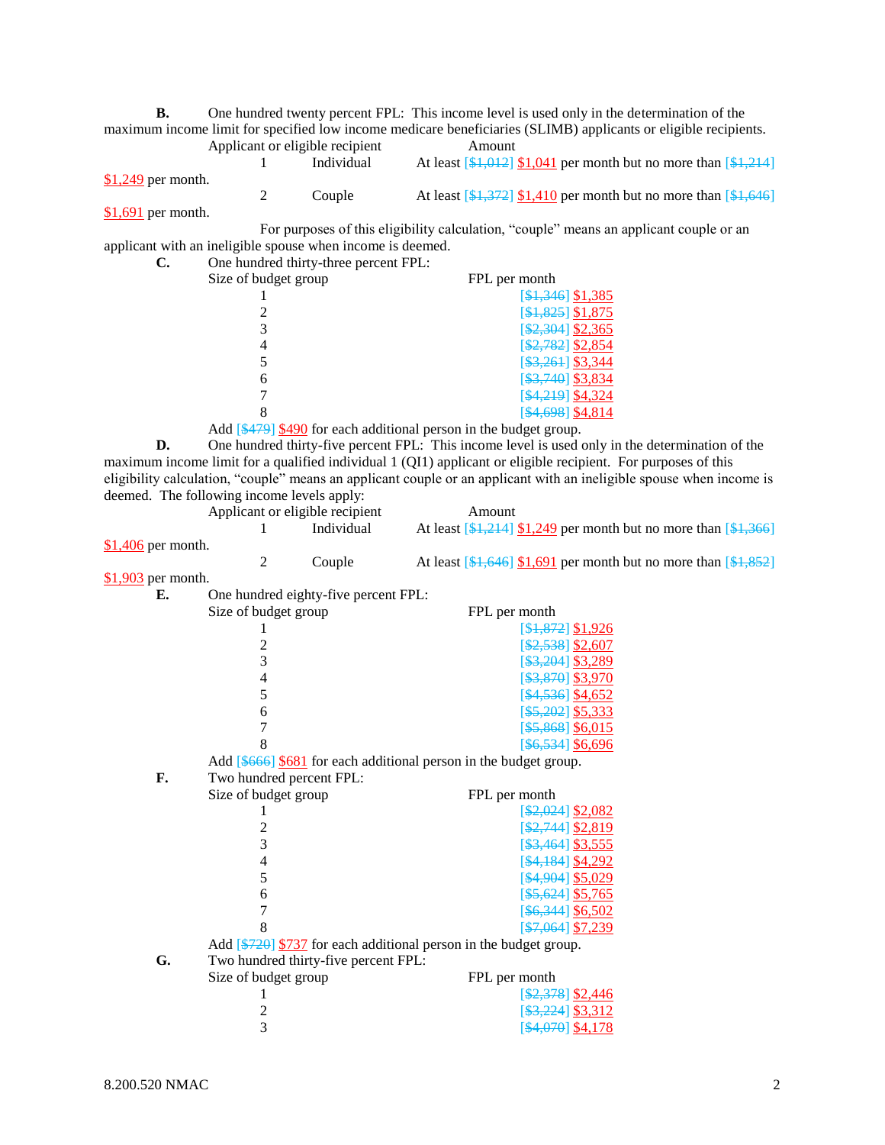**B.** One hundred twenty percent FPL: This income level is used only in the determination of the maximum income limit for specified low income medicare beneficiaries (SLIMB) applicants or eligible recipients. Applicant or eligible recipient<br>
1 Individual At least [\$1,012]

1 Individual At least  $\left[\frac{101}{101}\right]$  1.041 per month but no more than  $\left[\frac{121}{101}\right]$ \$1,249 per month. 2 Couple At least  $\left[\frac{1}{31},\frac{372}{31,410}\right]$  per month but no more than  $\left[\frac{1}{31},\frac{646}{31,410}\right]$ 

\$1,691 per month.

For purposes of this eligibility calculation, "couple" means an applicant couple or an applicant with an ineligible spouse when income is deemed.

| C. | One hundred thirty-three percent FPL: |                      |
|----|---------------------------------------|----------------------|
|    | Size of budget group                  | FPL per month        |
|    |                                       | $[$1,346]$ \$1,385   |
|    |                                       | $[$1,825]$ \$1,875   |
|    |                                       | $\[ $2,304]$ \$2,365 |
|    |                                       | $[$2,782]$ \$2,854   |
|    |                                       | $\[ $3,261]$ \$3,344 |
|    | 6                                     | $\[ $3,740]$ \$3,834 |
|    |                                       | [\$4,219] \$4,324    |
|    |                                       | $[$4,698]$ \$4,814   |

Add [\$479] \$490 for each additional person in the budget group.

**D.** One hundred thirty-five percent FPL: This income level is used only in the determination of the maximum income limit for a qualified individual 1 (QI1) applicant or eligible recipient. For purposes of this eligibility calculation, "couple" means an applicant couple or an applicant with an ineligible spouse when income is deemed. The following income levels apply:

|                     | Applicant or eligible recipient |            | Amount                                                                                                            |
|---------------------|---------------------------------|------------|-------------------------------------------------------------------------------------------------------------------|
|                     |                                 | Individual | At least $\left[\frac{134,214}{151,249}\right]$ per month but no more than $\left[\frac{134,366}{151,249}\right]$ |
| $$1,406$ per month. |                                 |            |                                                                                                                   |
|                     |                                 | Couple     | At least $[4,646]$ \$1,691 per month but no more than $[4,852]$                                                   |

\$1,903 per month.

| Е. | One hundred eighty-five percent FPL: |                                                                    |
|----|--------------------------------------|--------------------------------------------------------------------|
|    | Size of budget group                 | FPL per month                                                      |
|    |                                      | [\$4,872] \$1,926                                                  |
|    | $\overline{c}$                       | $[$2,538]$ \$2,607                                                 |
|    | $\overline{3}$                       | \$3,204] \$3,289                                                   |
|    | $\overline{4}$                       | $[$ \$3,870] \$3,970                                               |
|    | 5                                    | $[4,536]$ \$4,652                                                  |
|    | 6                                    | $[$ \$5,202] \$5,333                                               |
|    | $\overline{7}$                       | $[$ \$5,868] \$6,015                                               |
|    | 8                                    | $[$ \$6,534] \$6,696                                               |
|    |                                      | Add $[4666]$ \$681 for each additional person in the budget group. |
| F. | Two hundred percent FPL:             |                                                                    |
|    | Size of budget group                 | FPL per month                                                      |
|    |                                      | $\[ $2,024]$ \$2,082                                               |
|    | $\frac{2}{3}$                        | [ \$2,744] \$2,819                                                 |
|    |                                      | $[$ \$3,464] \$3,555                                               |
|    | $\overline{4}$                       | $[4,184]$ \$4,292                                                  |
|    | 5                                    | $[4,904]$ \$5,029                                                  |
|    | 6                                    | $[$ \$5,624] \$5,765                                               |
|    | $\overline{7}$                       | $[$ \$6,344] \$6,502                                               |
|    | 8                                    | $[$7,064]$ \$7,239                                                 |
|    |                                      | Add [\$720] \$737 for each additional person in the budget group.  |
| G. | Two hundred thirty-five percent FPL: |                                                                    |
|    | Size of budget group                 | FPL per month                                                      |
|    | 1                                    | $\[ $2,378]$ \$2,446                                               |
|    | 2                                    | \$3,224 \$3,312                                                    |
|    | 3                                    | [ <del>\$4,070</del> ] <u>\$4,178</u>                              |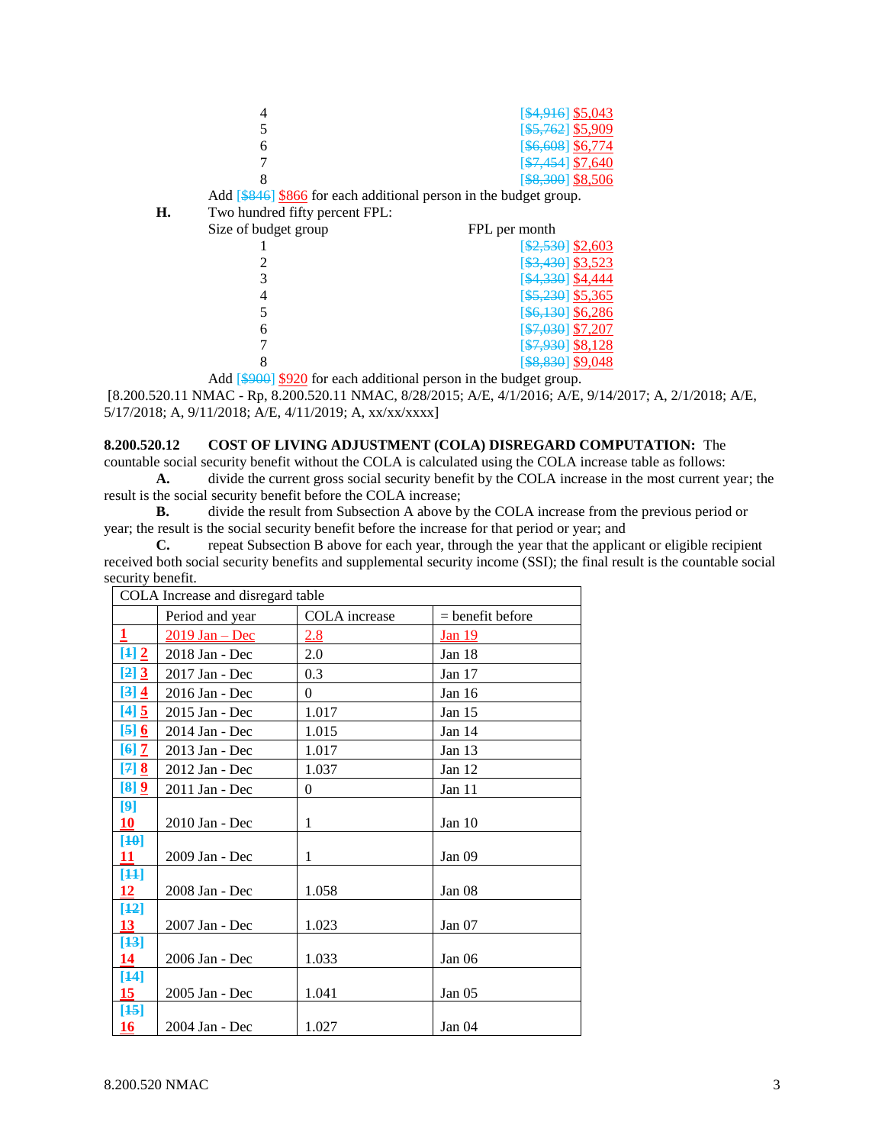|   | [\$4,916] \$5,043        |
|---|--------------------------|
|   | $[$ \$5,762] \$5,909     |
|   | [\$6,608] \$6,774        |
|   | $[$7,454]$ \$7,640       |
|   | $[$ \$8,300 \\ \ \$8,506 |
| . |                          |

Add [\$846] \$866 for each additional person in the budget group.

| Η. | Two hundred fifty percent FPL: |                                |
|----|--------------------------------|--------------------------------|
|    | Size of budget group           | FPL per month                  |
|    |                                | $[$2,530]$ \$2,603             |
|    |                                | $\[ $3,430]$ \$3,523           |
|    |                                | [ <del>\$4,330</del> ] \$4,444 |
|    |                                | $\[ $5,230]$ \$5,365           |
|    |                                | $[$ \$6,130] \$6,286           |
|    | 6                              | $$7,030$ \$7,207               |
|    |                                | [\$7,930] \$8,128              |
|    |                                | \$8,830 \$9,048                |

Add  $\left[\frac{$900}{$20}\right]$  for each additional person in the budget group.

[8.200.520.11 NMAC - Rp, 8.200.520.11 NMAC, 8/28/2015; A/E, 4/1/2016; A/E, 9/14/2017; A, 2/1/2018; A/E, 5/17/2018; A, 9/11/2018; A/E, 4/11/2019; A, xx/xx/xxxx]

# **8.200.520.12 COST OF LIVING ADJUSTMENT (COLA) DISREGARD COMPUTATION:** The

countable social security benefit without the COLA is calculated using the COLA increase table as follows: **A.** divide the current gross social security benefit by the COLA increase in the most current year; the

result is the social security benefit before the COLA increase;

**B.** divide the result from Subsection A above by the COLA increase from the previous period or year; the result is the social security benefit before the increase for that period or year; and

**C.** repeat Subsection B above for each year, through the year that the applicant or eligible recipient received both social security benefits and supplemental security income (SSI); the final result is the countable social security benefit.

|                           | COLA Increase and disregard table |               |                    |  |  |
|---------------------------|-----------------------------------|---------------|--------------------|--|--|
|                           | Period and year                   | COLA increase | $=$ benefit before |  |  |
| $\overline{1}$            | $2019$ Jan – Dec                  | 2.8           | Jan 19             |  |  |
| $[4]$                     | 2018 Jan - Dec                    | 2.0           | Jan 18             |  |  |
| [2] 3                     | 2017 Jan - Dec                    | 0.3           | Jan 17             |  |  |
| [3] 4                     | 2016 Jan - Dec                    | $\Omega$      | Jan 16             |  |  |
| [4] 5                     | 2015 Jan - Dec                    | 1.017         | Jan 15             |  |  |
| $\left[5\right]$ <u>6</u> | 2014 Jan - Dec                    | 1.015         | Jan 14             |  |  |
| $[6]$ $\overline{2}$      | 2013 Jan - Dec                    | 1.017         | Jan 13             |  |  |
| $[7]$ 8                   | 2012 Jan - Dec                    | 1.037         | Jan 12             |  |  |
| $[8]$ $[9]$               | 2011 Jan - Dec                    | $\theta$      | Jan 11             |  |  |
| [9]                       |                                   |               |                    |  |  |
| 10                        | $2010$ Jan - Dec                  | 1             | Jan $10$           |  |  |
| $[40]$                    |                                   |               |                    |  |  |
| 11                        | 2009 Jan - Dec                    | 1             | Jan 09             |  |  |
| $[44]$<br>12              | 2008 Jan - Dec                    | 1.058         | Jan 08             |  |  |
| $[42]$                    |                                   |               |                    |  |  |
| 13 <sup>°</sup>           | 2007 Jan - Dec                    | 1.023         | Jan $07$           |  |  |
| $[43]$                    |                                   |               |                    |  |  |
| 14                        | 2006 Jan - Dec                    | 1.033         | Jan <sub>06</sub>  |  |  |
| $[44]$                    |                                   |               |                    |  |  |
| 15                        | 2005 Jan - Dec                    | 1.041         | Jan 05             |  |  |
| $[45]$                    |                                   |               |                    |  |  |
| 16                        | 2004 Jan - Dec                    | 1.027         | Jan 04             |  |  |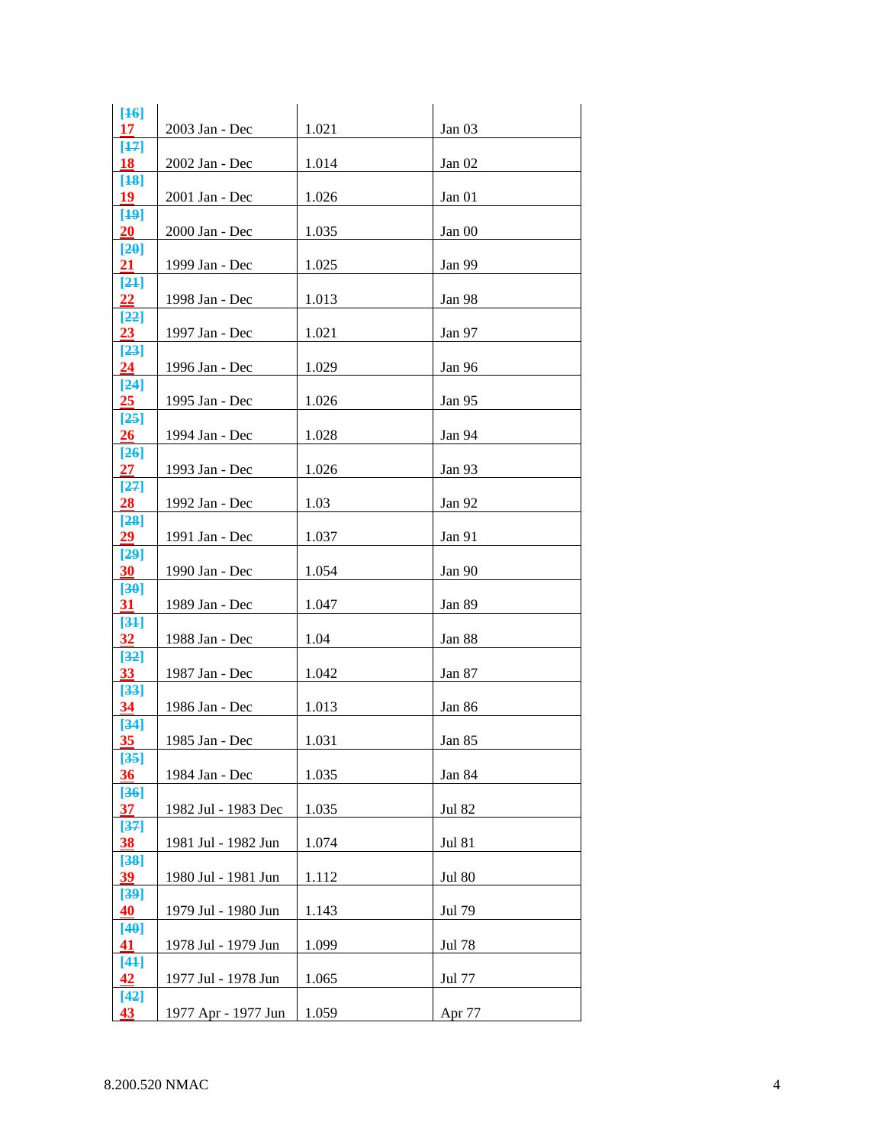| $[46]$<br>17            | 2003 Jan - Dec      | 1.021 | Jan 03        |
|-------------------------|---------------------|-------|---------------|
| $[47]$                  |                     |       |               |
| 18<br>$[48]$            | 2002 Jan - Dec      | 1.014 | Jan 02        |
| 19<br>[49]              | 2001 Jan - Dec      | 1.026 | Jan 01        |
| 20                      | 2000 Jan - Dec      | 1.035 | Jan 00        |
| [20]<br>21              | 1999 Jan - Dec      | 1.025 | Jan 99        |
| [24]<br>$22\,$          | 1998 Jan - Dec      | 1.013 | Jan 98        |
| [22]                    |                     |       |               |
| 23<br>$[23]$            | 1997 Jan - Dec      | 1.021 | Jan 97        |
| 24                      | 1996 Jan - Dec      | 1.029 | Jan 96        |
| $[24]$<br>25            | 1995 Jan - Dec      | 1.026 | Jan 95        |
| [25]<br>26              | 1994 Jan - Dec      | 1.028 | Jan 94        |
| $[26]$                  |                     |       |               |
| <u> 27 </u><br>[27]     | 1993 Jan - Dec      | 1.026 | Jan 93        |
| $\overline{28}$<br>[28] | 1992 Jan - Dec      | 1.03  | Jan 92        |
| 29                      | 1991 Jan - Dec      | 1.037 | Jan 91        |
| [29]<br>30              | 1990 Jan - Dec      | 1.054 | Jan 90        |
| [30]<br>31              | 1989 Jan - Dec      | 1.047 | Jan 89        |
| [34]                    |                     |       |               |
| 32<br>[32]              | 1988 Jan - Dec      | 1.04  | Jan 88        |
| 33                      | 1987 Jan - Dec      | 1.042 | Jan 87        |
| $[33]$<br>34            | 1986 Jan - Dec      | 1.013 | Jan 86        |
| $[34]$<br>35            | 1985 Jan - Dec      | 1.031 | Jan 85        |
| $[35]$                  |                     |       |               |
| 36<br>$[36]$            | 1984 Jan - Dec      | 1.035 | Jan 84        |
| 37<br>[37]              | 1982 Jul - 1983 Dec | 1.035 | <b>Jul 82</b> |
| 38                      | 1981 Jul - 1982 Jun | 1.074 | <b>Jul 81</b> |
| $[38]$<br>39            | 1980 Jul - 1981 Jun | 1.112 | <b>Jul 80</b> |
| [39]<br>40              | 1979 Jul - 1980 Jun | 1.143 | Jul 79        |
| [40]                    |                     |       |               |
| 41<br>$[44]$            | 1978 Jul - 1979 Jun | 1.099 | Jul 78        |
| 42<br>$[42]$            | 1977 Jul - 1978 Jun | 1.065 | Jul 77        |
| 43                      | 1977 Apr - 1977 Jun | 1.059 | Apr 77        |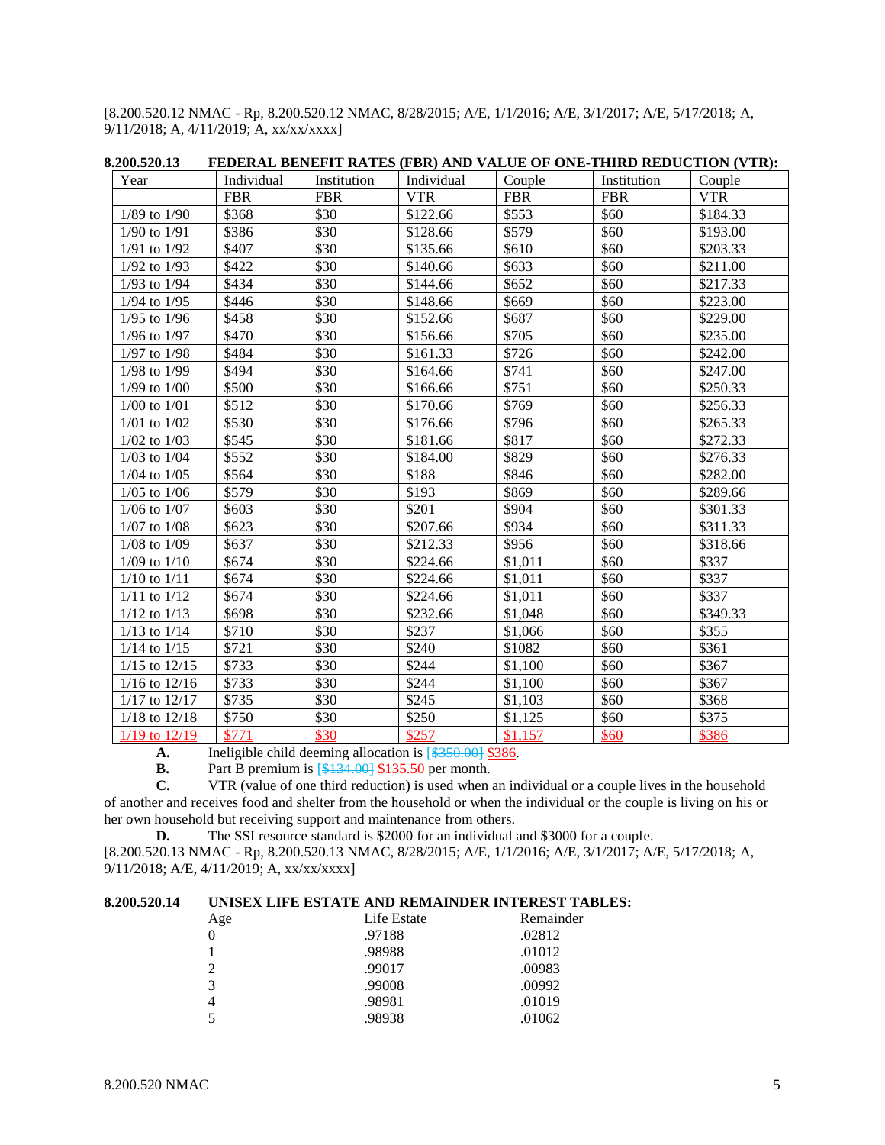[8.200.520.12 NMAC - Rp, 8.200.520.12 NMAC, 8/28/2015; A/E, 1/1/2016; A/E, 3/1/2017; A/E, 5/17/2018; A, 9/11/2018; A, 4/11/2019; A, xx/xx/xxxx]

| Year              | Individual | Institution | Individual | Couple     | Institution | Couple     |
|-------------------|------------|-------------|------------|------------|-------------|------------|
|                   | <b>FBR</b> | <b>FBR</b>  | <b>VTR</b> | <b>FBR</b> | <b>FBR</b>  | <b>VTR</b> |
| $1/89$ to $1/90$  | \$368      | \$30        | \$122.66   | \$553      | \$60        | \$184.33   |
| $1/90$ to $1/91$  | \$386      | \$30        | \$128.66   | \$579      | \$60        | \$193.00   |
| 1/91 to 1/92      | \$407      | \$30        | \$135.66   | \$610      | \$60        | \$203.33   |
| 1/92 to 1/93      | \$422      | \$30        | \$140.66   | \$633      | \$60        | \$211.00   |
| $1/93$ to $1/94$  | \$434      | \$30        | \$144.66   | \$652      | \$60        | \$217.33   |
| $1/94$ to $1/95$  | \$446      | \$30        | \$148.66   | \$669      | \$60        | \$223.00   |
| 1/95 to 1/96      | \$458      | \$30        | \$152.66   | \$687      | \$60        | \$229.00   |
| $1/96$ to $1/97$  | \$470      | \$30        | \$156.66   | \$705      | \$60        | \$235.00   |
| $1/97$ to $1/98$  | \$484      | \$30        | \$161.33   | \$726      | \$60        | \$242.00   |
| 1/98 to 1/99      | \$494      | \$30        | \$164.66   | \$741      | \$60        | \$247.00   |
| $1/99$ to $1/00$  | \$500      | \$30        | \$166.66   | \$751      | \$60        | \$250.33   |
| $1/00$ to $1/01$  | \$512      | \$30        | \$170.66   | \$769      | \$60        | \$256.33   |
| $1/01$ to $1/02$  | \$530      | \$30        | \$176.66   | \$796      | \$60        | \$265.33   |
| $1/02$ to $1/03$  | \$545      | \$30        | \$181.66   | \$817      | \$60        | \$272.33   |
| $1/03$ to $1/04$  | \$552      | \$30        | \$184.00   | \$829      | \$60        | \$276.33   |
| $1/04$ to $1/05$  | \$564      | \$30        | \$188      | \$846      | \$60        | \$282.00   |
| $1/05$ to $1/06$  | \$579      | \$30        | \$193      | \$869      | \$60        | \$289.66   |
| $1/06$ to $1/07$  | \$603      | \$30        | \$201      | \$904      | \$60        | \$301.33   |
| $1/07$ to $1/08$  | \$623      | \$30        | \$207.66   | \$934      | \$60        | \$311.33   |
| $1/08$ to $1/09$  | \$637      | \$30        | \$212.33   | \$956      | \$60        | \$318.66   |
| $1/09$ to $1/10$  | \$674      | \$30        | \$224.66   | \$1,011    | \$60        | \$337      |
| $1/10$ to $1/11$  | \$674      | \$30        | \$224.66   | \$1,011    | \$60        | \$337      |
| $1/11$ to $1/12$  | \$674      | \$30        | \$224.66   | \$1,011    | \$60        | \$337      |
| $1/12$ to $1/13$  | \$698      | \$30        | \$232.66   | \$1,048    | \$60        | \$349.33   |
| $1/13$ to $1/14$  | \$710      | \$30        | \$237      | \$1,066    | \$60        | \$355      |
| $1/14$ to $1/15$  | \$721      | \$30        | \$240      | \$1082     | \$60        | \$361      |
| $1/15$ to $12/15$ | \$733      | \$30        | \$244      | \$1,100    | \$60        | \$367      |
| $1/16$ to $12/16$ | \$733      | \$30        | \$244      | \$1,100    | \$60        | \$367      |
| 1/17 to 12/17     | \$735      | \$30        | \$245      | \$1,103    | \$60        | \$368      |
| $1/18$ to $12/18$ | \$750      | \$30        | \$250      | \$1,125    | \$60        | \$375      |
| $1/19$ to $12/19$ | \$771      | \$30        | \$257      | \$1,157    | \$60        | \$386      |

**8.200.520.13 FEDERAL BENEFIT RATES (FBR) AND VALUE OF ONE-THIRD REDUCTION (VTR):**

**A.** Ineligible child deeming allocation is  $\frac{\$350,001}{\$386}$ .<br>**B.** Part B premium is  $\frac{\$134,001}{\$135.50}$  per month.

**B.** Part B premium is [\$134.00] \$135.50 per month.<br>**C.** VTR (value of one third reduction) is used when a

**C.** VTR (value of one third reduction) is used when an individual or a couple lives in the household of another and receives food and shelter from the household or when the individual or the couple is living on his or her own household but receiving support and maintenance from others.

**D.** The SSI resource standard is \$2000 for an individual and \$3000 for a couple. [8.200.520.13 NMAC - Rp, 8.200.520.13 NMAC, 8/28/2015; A/E, 1/1/2016; A/E, 3/1/2017; A/E, 5/17/2018; A, 9/11/2018; A/E, 4/11/2019; A, xx/xx/xxxx]

# **8.200.520.14 UNISEX LIFE ESTATE AND REMAINDER INTEREST TABLES:**

| Age      | Life Estate | Remainder |
|----------|-------------|-----------|
| $\Omega$ | .97188      | .02812    |
|          | .98988      | .01012    |
| 2        | .99017      | .00983    |
| 3        | .99008      | .00992    |
| 4        | .98981      | .01019    |
| 5        | .98938      | .01062    |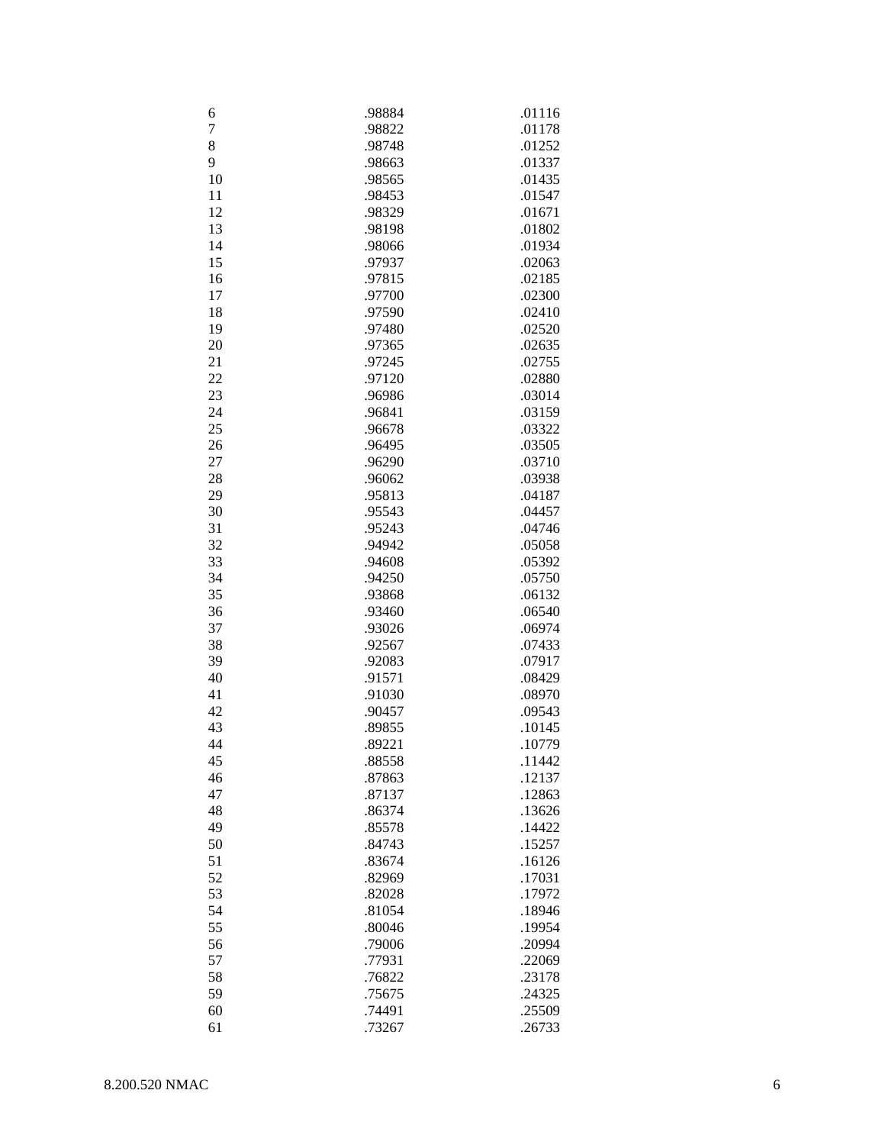| 6              | .98884 | .01116 |
|----------------|--------|--------|
| $\overline{7}$ | .98822 | .01178 |
| 8              | .98748 | .01252 |
| 9              | .98663 | .01337 |
| 10             | .98565 | .01435 |
| 11             | .98453 | .01547 |
|                |        |        |
| 12             | .98329 | .01671 |
| 13             | .98198 | .01802 |
| 14             | .98066 | .01934 |
| 15             | .97937 | .02063 |
| 16             | .97815 | .02185 |
| 17             | .97700 | .02300 |
| 18             | .97590 | .02410 |
| 19             | .97480 | .02520 |
| 20             | .97365 | .02635 |
| 21             | .97245 | .02755 |
| 22             | .97120 | .02880 |
| 23             | .96986 | .03014 |
| 24             | .96841 | .03159 |
| 25             | .96678 | .03322 |
| 26             | .96495 | .03505 |
| 27             | .96290 | .03710 |
| 28             | .96062 | .03938 |
| 29             | .95813 | .04187 |
| 30             | .95543 | .04457 |
| 31             | .95243 | .04746 |
| 32             | .94942 | .05058 |
| 33             | .94608 | .05392 |
| 34             | .94250 | .05750 |
| 35             |        |        |
|                | .93868 | .06132 |
| 36             | .93460 | .06540 |
| 37             | .93026 | .06974 |
| 38             | .92567 | .07433 |
| 39             | .92083 | .07917 |
| 40             | .91571 | .08429 |
| 41             | .91030 | .08970 |
| 42             | .90457 | .09543 |
| 43             | .89855 | .10145 |
| 44             | .89221 | .10779 |
| 45             | .88558 | .11442 |
| 46             | .87863 | .12137 |
| 47             | .87137 | .12863 |
| 48             | .86374 | .13626 |
| 49             | .85578 | .14422 |
| 50             | .84743 | .15257 |
| 51             | .83674 | .16126 |
| 52             | .82969 | .17031 |
| 53             | .82028 | .17972 |
| 54             | .81054 | .18946 |
| 55             | .80046 | .19954 |
| 56             | .79006 | .20994 |
| 57             | .77931 | .22069 |
| 58             | .76822 | .23178 |
| 59             | .75675 | .24325 |
|                |        |        |
| 60             | .74491 | .25509 |
| 61             | .73267 | .26733 |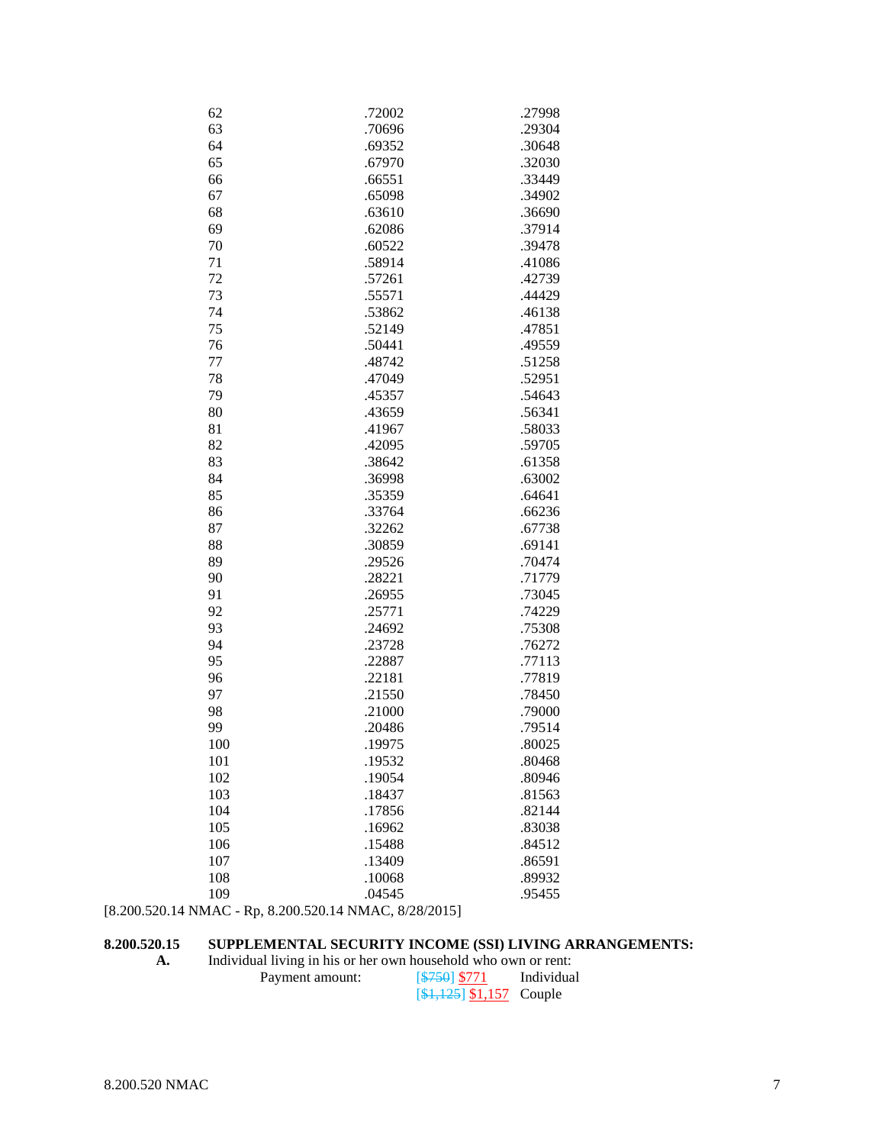| 62                                                     | .72002 | .27998 |
|--------------------------------------------------------|--------|--------|
| 63                                                     | .70696 | .29304 |
| 64                                                     | .69352 | .30648 |
| 65                                                     | .67970 | .32030 |
| 66                                                     | .66551 | .33449 |
| 67                                                     | .65098 | .34902 |
| 68                                                     | .63610 | .36690 |
| 69                                                     | .62086 | .37914 |
| 70                                                     | .60522 | .39478 |
| 71                                                     | .58914 | .41086 |
| 72                                                     | .57261 | .42739 |
| 73                                                     | .55571 | .44429 |
| 74                                                     | .53862 | .46138 |
| 75                                                     | .52149 | .47851 |
| 76                                                     | .50441 | .49559 |
| 77                                                     | .48742 | .51258 |
| 78                                                     | .47049 | .52951 |
| 79                                                     | .45357 | .54643 |
|                                                        |        |        |
| 80                                                     | .43659 | .56341 |
| 81                                                     | .41967 | .58033 |
| 82                                                     | .42095 | .59705 |
| 83                                                     | .38642 | .61358 |
| 84                                                     | .36998 | .63002 |
| 85                                                     | .35359 | .64641 |
| 86                                                     | .33764 | .66236 |
| 87                                                     | .32262 | .67738 |
| 88                                                     | .30859 | .69141 |
| 89                                                     | .29526 | .70474 |
| 90                                                     | .28221 | .71779 |
| 91                                                     | .26955 | .73045 |
| 92                                                     | .25771 | .74229 |
| 93                                                     | .24692 | .75308 |
| 94                                                     | .23728 | .76272 |
| 95                                                     | .22887 | .77113 |
| 96                                                     | .22181 | .77819 |
| 97                                                     | .21550 | .78450 |
| 98                                                     | .21000 | .79000 |
| 99                                                     | .20486 | .79514 |
| 100                                                    | 19975  | .80025 |
| 101                                                    | .19532 | .80468 |
| 102                                                    | .19054 | .80946 |
| 103                                                    | .18437 | .81563 |
| 104                                                    | .17856 | .82144 |
| 105                                                    | .16962 | .83038 |
| 106                                                    | .15488 | .84512 |
| 107                                                    | .13409 | .86591 |
| 108                                                    | .10068 | .89932 |
| 109                                                    | .04545 | .95455 |
| [8.200.520.14 NMAC - Rp, 8.200.520.14 NMAC, 8/28/2015] |        |        |

# **8.200.520.15 SUPPLEMENTAL SECURITY INCOME (SSI) LIVING ARRANGEMENTS:**

| А. | Individual living in his or her own household who own or rent: |              |            |  |
|----|----------------------------------------------------------------|--------------|------------|--|
|    | Payment amount:                                                | $5750$ \$771 | Individual |  |
|    |                                                                |              |            |  |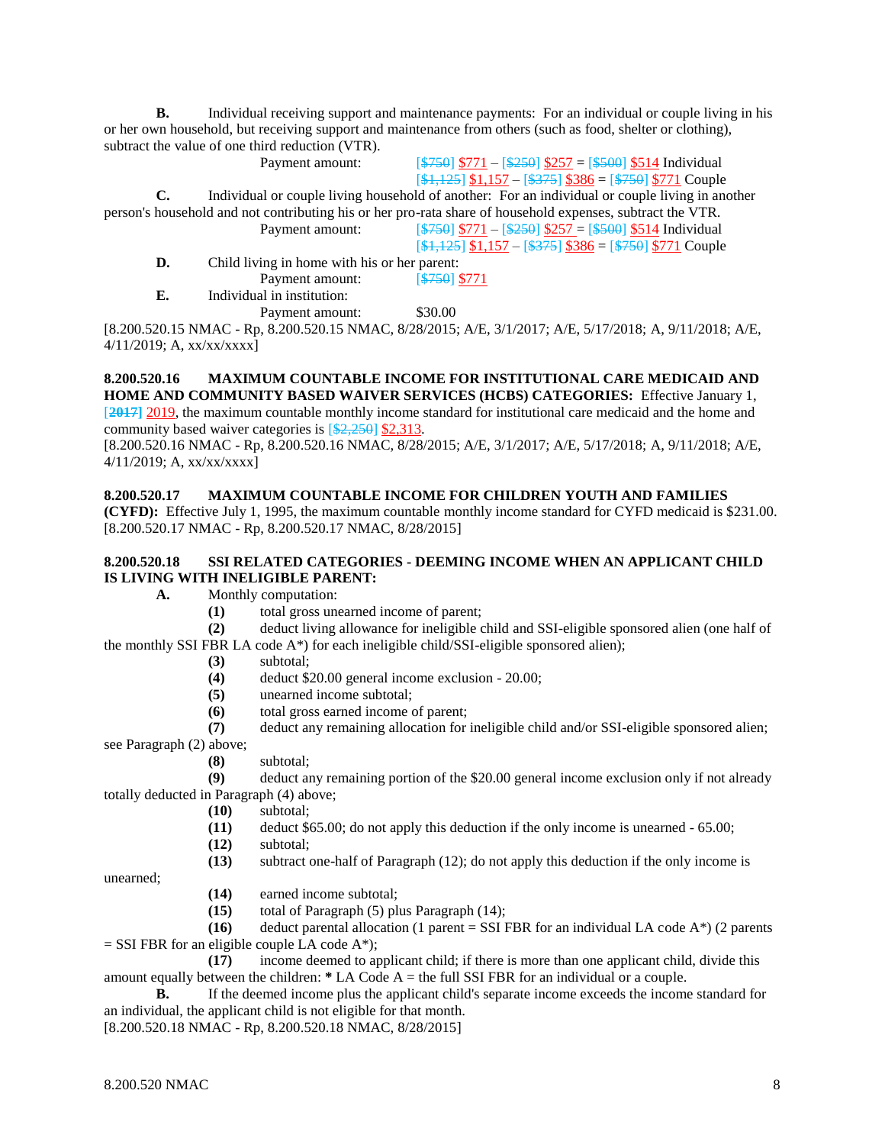**B.** Individual receiving support and maintenance payments: For an individual or couple living in his or her own household, but receiving support and maintenance from others (such as food, shelter or clothing), subtract the value of one third reduction (VTR).

Payment amount:  $\sqrt{\frac{$750}{$771 - $250}}$  \$257 = [\$500] \$514 Individual  $[4,125]$  \$1,157 –  $[4375]$  \$386 =  $[4750]$  \$771 Couple

**C.** Individual or couple living household of another: For an individual or couple living in another person's household and not contributing his or her pro-rata share of household expenses, subtract the VTR. Payment amount: [\$750] \$771 – [\$250] \$257 = [\$500] \$514 Individual

 $[41,125]$  \$1,157 – [\$375] \$386 = [\$750] \$771 Couple

**D.** Child living in home with his or her parent: Payment amount: [\$750] \$771

**E.** Individual in institution:

Payment amount: \$30.00

[8.200.520.15 NMAC - Rp, 8.200.520.15 NMAC, 8/28/2015; A/E, 3/1/2017; A/E, 5/17/2018; A, 9/11/2018; A/E, 4/11/2019; A, xx/xx/xxxx]

#### **8.200.520.16 MAXIMUM COUNTABLE INCOME FOR INSTITUTIONAL CARE MEDICAID AND HOME AND COMMUNITY BASED WAIVER SERVICES (HCBS) CATEGORIES:** Effective January 1, [**2017]** 2019, the maximum countable monthly income standard for institutional care medicaid and the home and

community based waiver categories is  $[2,250]$  \$2,313. [8.200.520.16 NMAC - Rp, 8.200.520.16 NMAC, 8/28/2015; A/E, 3/1/2017; A/E, 5/17/2018; A, 9/11/2018; A/E, 4/11/2019; A, xx/xx/xxxx]

#### **8.200.520.17 MAXIMUM COUNTABLE INCOME FOR CHILDREN YOUTH AND FAMILIES**

**(CYFD):** Effective July 1, 1995, the maximum countable monthly income standard for CYFD medicaid is \$231.00. [8.200.520.17 NMAC - Rp, 8.200.520.17 NMAC, 8/28/2015]

## **8.200.520.18 SSI RELATED CATEGORIES - DEEMING INCOME WHEN AN APPLICANT CHILD IS LIVING WITH INELIGIBLE PARENT:**

**A.** Monthly computation:

**(1)** total gross unearned income of parent;

**(2)** deduct living allowance for ineligible child and SSI-eligible sponsored alien (one half of the monthly SSI FBR LA code A\*) for each ineligible child/SSI-eligible sponsored alien);

#### **(3)** subtotal;

- **(4)** deduct \$20.00 general income exclusion 20.00;
- **(5)** unearned income subtotal;
- **(6)** total gross earned income of parent;

**(7)** deduct any remaining allocation for ineligible child and/or SSI-eligible sponsored alien; see Paragraph (2) above;

**(8)** subtotal;

**(9)** deduct any remaining portion of the \$20.00 general income exclusion only if not already totally deducted in Paragraph (4) above;

- **(10)** subtotal;
- **(11)** deduct \$65.00; do not apply this deduction if the only income is unearned 65.00;
- **(12)** subtotal;
- **(13)** subtract one-half of Paragraph (12); do not apply this deduction if the only income is

unearned;

- **(14)** earned income subtotal;
- **(15)** total of Paragraph (5) plus Paragraph (14);

**(16)** deduct parental allocation (1 parent = SSI FBR for an individual LA code  $A^*$ ) (2 parents  $=$  SSI FBR for an eligible couple LA code A\*);

**(17)** income deemed to applicant child; if there is more than one applicant child, divide this amount equally between the children: **\*** LA Code A = the full SSI FBR for an individual or a couple.

**B.** If the deemed income plus the applicant child's separate income exceeds the income standard for an individual, the applicant child is not eligible for that month.

[8.200.520.18 NMAC - Rp, 8.200.520.18 NMAC, 8/28/2015]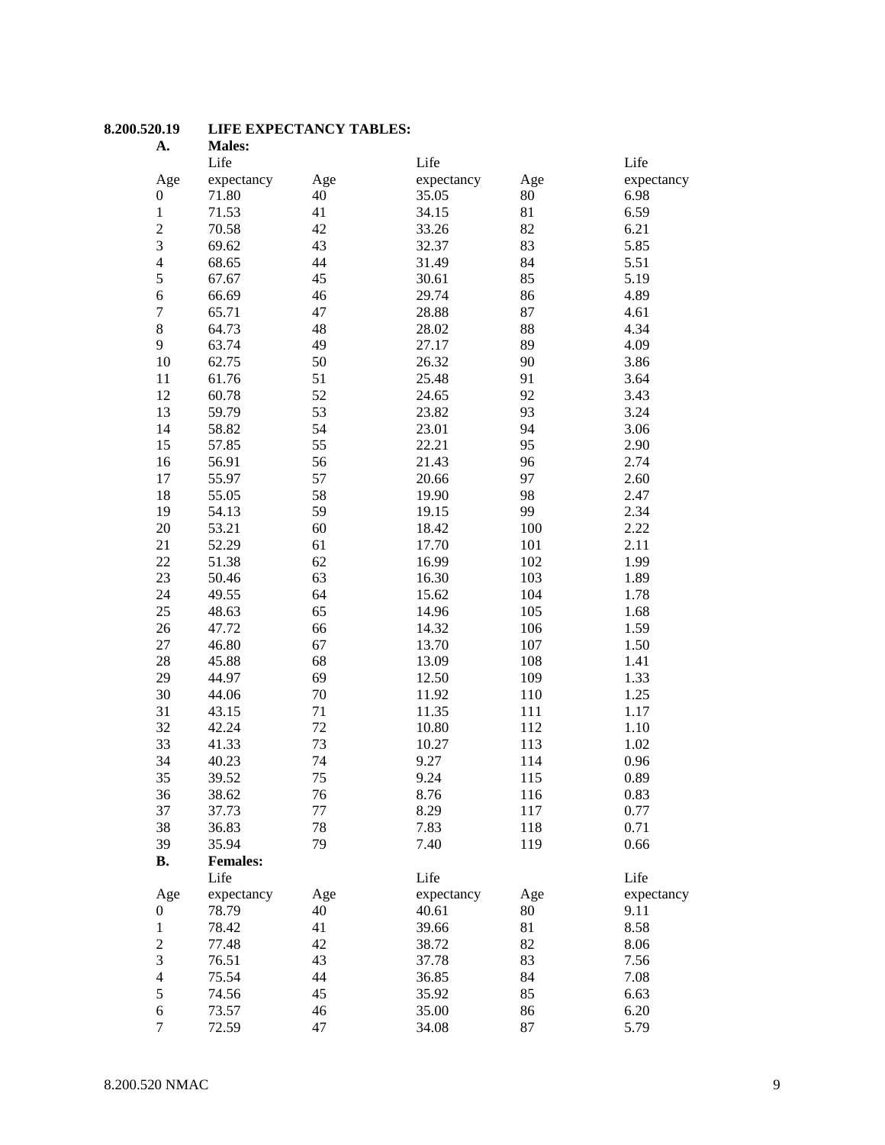#### **8.200.520.19 LIFE EXPECTANCY TABLES:**

| A.                      | <b>Males:</b>   |     |            |     |            |
|-------------------------|-----------------|-----|------------|-----|------------|
|                         | Life            |     | Life       |     | Life       |
| Age                     | expectancy      | Age | expectancy | Age | expectancy |
| $\boldsymbol{0}$        | 71.80           | 40  | 35.05      | 80  | 6.98       |
| $\mathbf{1}$            | 71.53           | 41  | 34.15      | 81  | 6.59       |
| $\overline{c}$          | 70.58           | 42  | 33.26      | 82  | 6.21       |
| 3                       | 69.62           | 43  | 32.37      | 83  | 5.85       |
| $\overline{\mathbf{4}}$ | 68.65           | 44  | 31.49      | 84  | 5.51       |
| 5                       | 67.67           | 45  | 30.61      | 85  | 5.19       |
| 6                       | 66.69           | 46  | 29.74      | 86  | 4.89       |
| $\overline{7}$          | 65.71           | 47  | 28.88      | 87  | 4.61       |
| 8                       | 64.73           | 48  | 28.02      | 88  | 4.34       |
| 9                       | 63.74           | 49  | 27.17      | 89  | 4.09       |
| 10                      | 62.75           | 50  | 26.32      | 90  | 3.86       |
| 11                      | 61.76           | 51  | 25.48      | 91  | 3.64       |
| 12                      | 60.78           | 52  | 24.65      | 92  | 3.43       |
| 13                      | 59.79           | 53  | 23.82      | 93  | 3.24       |
| 14                      | 58.82           | 54  | 23.01      | 94  | 3.06       |
| 15                      | 57.85           | 55  | 22.21      | 95  | 2.90       |
| 16                      | 56.91           | 56  | 21.43      | 96  | 2.74       |
|                         |                 |     | 20.66      | 97  |            |
| 17                      | 55.97           | 57  |            |     | 2.60       |
| 18                      | 55.05           | 58  | 19.90      | 98  | 2.47       |
| 19                      | 54.13           | 59  | 19.15      | 99  | 2.34       |
| 20                      | 53.21           | 60  | 18.42      | 100 | 2.22       |
| 21                      | 52.29           | 61  | 17.70      | 101 | 2.11       |
| 22                      | 51.38           | 62  | 16.99      | 102 | 1.99       |
| 23                      | 50.46           | 63  | 16.30      | 103 | 1.89       |
| 24                      | 49.55           | 64  | 15.62      | 104 | 1.78       |
| 25                      | 48.63           | 65  | 14.96      | 105 | 1.68       |
| 26                      | 47.72           | 66  | 14.32      | 106 | 1.59       |
| 27                      | 46.80           | 67  | 13.70      | 107 | 1.50       |
| 28                      | 45.88           | 68  | 13.09      | 108 | 1.41       |
| 29                      | 44.97           | 69  | 12.50      | 109 | 1.33       |
| 30                      | 44.06           | 70  | 11.92      | 110 | 1.25       |
| 31                      | 43.15           | 71  | 11.35      | 111 | 1.17       |
| 32                      | 42.24           | 72  | 10.80      | 112 | 1.10       |
| 33                      | 41.33           | 73  | 10.27      | 113 | 1.02       |
| 34                      | 40.23           | 74  | 9.27       | 114 | 0.96       |
| 35                      | 39.52           | 75  | 9.24       | 115 | 0.89       |
| 36                      | 38.62           | 76  | 8.76       | 116 | 0.83       |
| 37                      | 37.73           | 77  | 8.29       | 117 | 0.77       |
| 38                      | 36.83           | 78  | 7.83       | 118 | 0.71       |
| 39                      | 35.94           | 79  | 7.40       | 119 | 0.66       |
| <b>B.</b>               | <b>Females:</b> |     |            |     |            |
|                         | Life            |     | Life       |     | Life       |
| Age                     | expectancy      | Age | expectancy | Age | expectancy |
| 0                       | 78.79           | 40  | 40.61      | 80  | 9.11       |
| $\mathbf{1}$            | 78.42           | 41  | 39.66      | 81  | 8.58       |
| $\overline{c}$          | 77.48           | 42  | 38.72      | 82  | 8.06       |
| 3                       | 76.51           | 43  | 37.78      | 83  | 7.56       |
| $\overline{\mathbf{4}}$ | 75.54           | 44  | 36.85      | 84  | 7.08       |
| 5                       | 74.56           | 45  | 35.92      | 85  | 6.63       |
| 6                       | 73.57           | 46  | 35.00      | 86  | 6.20       |
| $\tau$                  | 72.59           | 47  | 34.08      | 87  | 5.79       |
|                         |                 |     |            |     |            |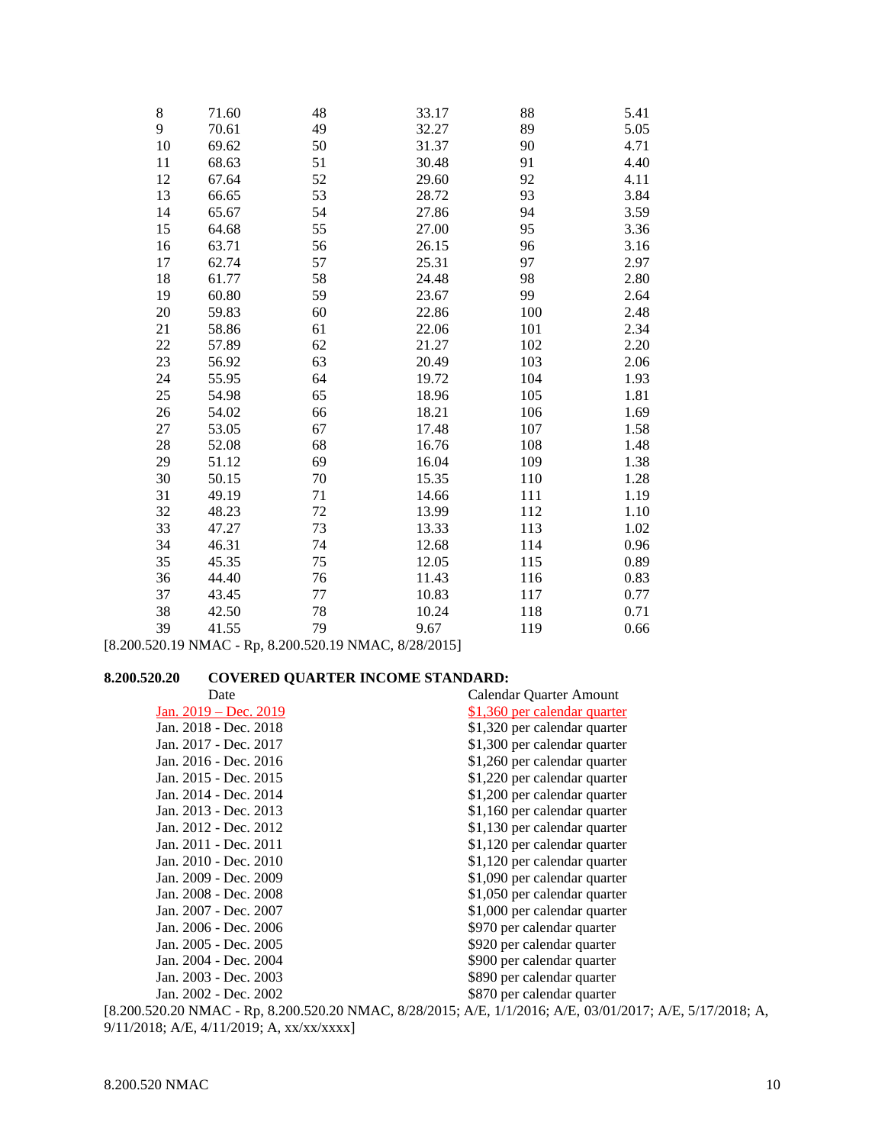| 71.60<br>70.61 | 48<br>49 | 33.17<br>32.27 | 88  | 5.41 |
|----------------|----------|----------------|-----|------|
|                |          |                |     |      |
|                |          |                | 89  | 5.05 |
|                | 50       | 31.37          | 90  | 4.71 |
| 68.63          | 51       | 30.48          | 91  | 4.40 |
| 67.64          | 52       | 29.60          | 92  | 4.11 |
| 66.65          | 53       | 28.72          | 93  | 3.84 |
| 65.67          | 54       | 27.86          | 94  | 3.59 |
| 64.68          | 55       | 27.00          | 95  | 3.36 |
| 63.71          | 56       | 26.15          | 96  | 3.16 |
| 62.74          | 57       | 25.31          | 97  | 2.97 |
| 61.77          | 58       | 24.48          | 98  | 2.80 |
| 60.80          | 59       | 23.67          | 99  | 2.64 |
| 59.83          | 60       | 22.86          | 100 | 2.48 |
| 58.86          | 61       | 22.06          | 101 | 2.34 |
| 57.89          | 62       | 21.27          | 102 | 2.20 |
| 56.92          | 63       | 20.49          | 103 | 2.06 |
| 55.95          | 64       | 19.72          | 104 | 1.93 |
| 54.98          | 65       | 18.96          | 105 | 1.81 |
| 54.02          | 66       | 18.21          | 106 | 1.69 |
| 53.05          | 67       | 17.48          | 107 | 1.58 |
| 52.08          | 68       | 16.76          | 108 | 1.48 |
| 51.12          | 69       | 16.04          | 109 | 1.38 |
| 50.15          | 70       | 15.35          | 110 | 1.28 |
| 49.19          | 71       | 14.66          | 111 | 1.19 |
| 48.23          | 72       | 13.99          | 112 | 1.10 |
| 47.27          |          | 13.33          | 113 | 1.02 |
| 46.31          | 74       | 12.68          | 114 | 0.96 |
| 45.35          | 75       | 12.05          | 115 | 0.89 |
| 44.40          | 76       | 11.43          | 116 | 0.83 |
| 43.45          | 77       | 10.83          | 117 | 0.77 |
| 42.50          | 78       | 10.24          | 118 | 0.71 |
| 41.55          | 79       | 9.67           | 119 | 0.66 |
|                | 69.62    | 73             |     |      |

[8.200.520.19 NMAC - Rp, 8.200.520.19 NMAC, 8/28/2015]

# **8.200.520.20 COVERED QUARTER INCOME STANDARD:**

| Date                                                                                                      | Calendar Quarter Amount      |
|-----------------------------------------------------------------------------------------------------------|------------------------------|
| Jan. 2019 – Dec. 2019                                                                                     | \$1,360 per calendar quarter |
| Jan. 2018 - Dec. 2018                                                                                     | \$1,320 per calendar quarter |
| Jan. 2017 - Dec. 2017                                                                                     | \$1,300 per calendar quarter |
| Jan. 2016 - Dec. 2016                                                                                     | \$1,260 per calendar quarter |
| Jan. 2015 - Dec. 2015                                                                                     | \$1,220 per calendar quarter |
| Jan. 2014 - Dec. 2014                                                                                     | \$1,200 per calendar quarter |
| Jan. 2013 - Dec. 2013                                                                                     | \$1,160 per calendar quarter |
| Jan. 2012 - Dec. 2012                                                                                     | \$1,130 per calendar quarter |
| Jan. 2011 - Dec. 2011                                                                                     | \$1,120 per calendar quarter |
| Jan. 2010 - Dec. 2010                                                                                     | \$1,120 per calendar quarter |
| Jan. 2009 - Dec. 2009                                                                                     | \$1,090 per calendar quarter |
| Jan. 2008 - Dec. 2008                                                                                     | \$1,050 per calendar quarter |
| Jan. 2007 - Dec. 2007                                                                                     | \$1,000 per calendar quarter |
| Jan. 2006 - Dec. 2006                                                                                     | \$970 per calendar quarter   |
| Jan. 2005 - Dec. 2005                                                                                     | \$920 per calendar quarter   |
| Jan. 2004 - Dec. 2004                                                                                     | \$900 per calendar quarter   |
| Jan. 2003 - Dec. 2003                                                                                     | \$890 per calendar quarter   |
| Jan. 2002 - Dec. 2002                                                                                     | \$870 per calendar quarter   |
| [8.200.520.20 NMAC - Rp, 8.200.520.20 NMAC, 8/28/2015; A/E, 1/1/2016; A/E, 03/01/2017; A/E, 5/17/2018; A, |                              |

9/11/2018; A/E, 4/11/2019; A, xx/xx/xxxx]